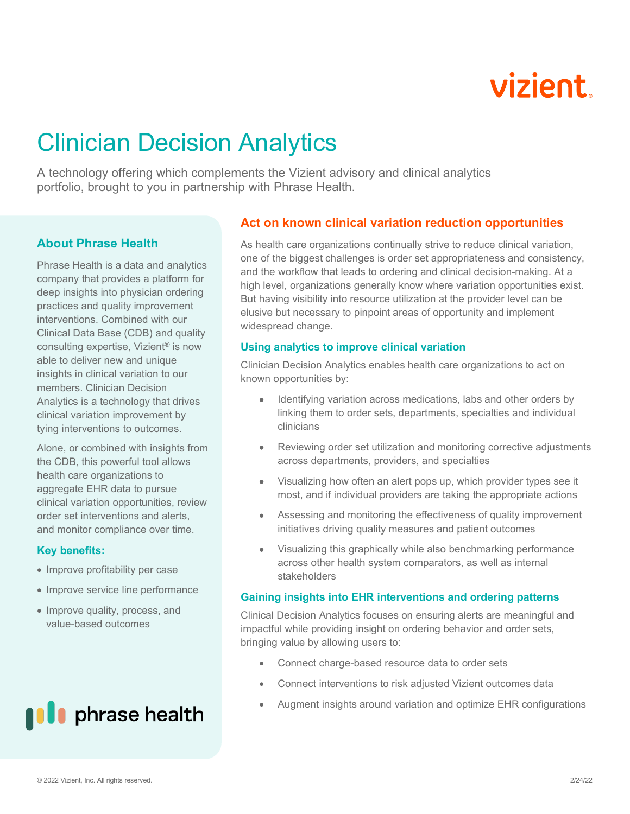# **vizient**

# Clinician Decision Analytics

A technology offering which complements the Vizient advisory and clinical analytics portfolio, brought to you in partnership with Phrase Health.

### **About Phrase Health**

Phrase Health is a data and analytics company that provides a platform for deep insights into physician ordering practices and quality improvement interventions. Combined with our Clinical Data Base (CDB) and quality consulting expertise, Vizient® is now able to deliver new and unique insights in clinical variation to our members. Clinician Decision Analytics is a technology that drives clinical variation improvement by tying interventions to outcomes.

Alone, or combined with insights from the CDB, this powerful tool allows health care organizations to aggregate EHR data to pursue clinical variation opportunities, review order set interventions and alerts, and monitor compliance over time.

#### **Key benefits:**

- Improve profitability per case
- Improve service line performance
- Improve quality, process, and value-based outcomes



## **Act on known clinical variation reduction opportunities**

As health care organizations continually strive to reduce clinical variation, one of the biggest challenges is order set appropriateness and consistency, and the workflow that leads to ordering and clinical decision-making. At a high level, organizations generally know where variation opportunities exist. But having visibility into resource utilization at the provider level can be elusive but necessary to pinpoint areas of opportunity and implement widespread change.

#### **Using analytics to improve clinical variation**

Clinician Decision Analytics enables health care organizations to act on known opportunities by:

- Identifying variation across medications, labs and other orders by linking them to order sets, departments, specialties and individual clinicians
- Reviewing order set utilization and monitoring corrective adjustments across departments, providers, and specialties
- Visualizing how often an alert pops up, which provider types see it most, and if individual providers are taking the appropriate actions
- Assessing and monitoring the effectiveness of quality improvement initiatives driving quality measures and patient outcomes
- Visualizing this graphically while also benchmarking performance across other health system comparators, as well as internal stakeholders

#### **Gaining insights into EHR interventions and ordering patterns**

Clinical Decision Analytics focuses on ensuring alerts are meaningful and impactful while providing insight on ordering behavior and order sets, bringing value by allowing users to:

- Connect charge-based resource data to order sets
- Connect interventions to risk adjusted Vizient outcomes data
- Augment insights around variation and optimize EHR configurations